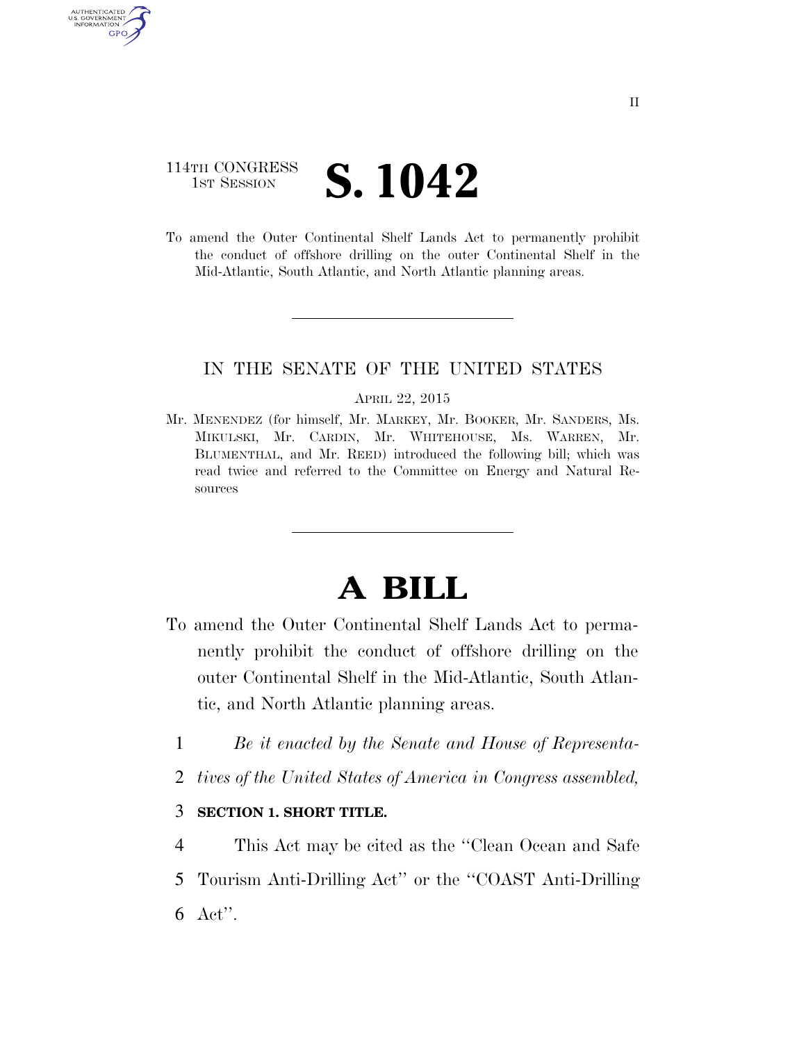# 114TH CONGRESS **1ST SESSION S. 1042**

AUTHENTICATED U.S. GOVERNMENT GPO

> To amend the Outer Continental Shelf Lands Act to permanently prohibit the conduct of offshore drilling on the outer Continental Shelf in the Mid-Atlantic, South Atlantic, and North Atlantic planning areas.

## IN THE SENATE OF THE UNITED STATES

#### APRIL 22, 2015

Mr. MENENDEZ (for himself, Mr. MARKEY, Mr. BOOKER, Mr. SANDERS, Ms. MIKULSKI, Mr. CARDIN, Mr. WHITEHOUSE, Ms. WARREN, Mr. BLUMENTHAL, and Mr. REED) introduced the following bill; which was read twice and referred to the Committee on Energy and Natural Resources

# **A BILL**

- To amend the Outer Continental Shelf Lands Act to permanently prohibit the conduct of offshore drilling on the outer Continental Shelf in the Mid-Atlantic, South Atlantic, and North Atlantic planning areas.
	- 1 *Be it enacted by the Senate and House of Representa-*
	- 2 *tives of the United States of America in Congress assembled,*

## 3 **SECTION 1. SHORT TITLE.**

4 This Act may be cited as the ''Clean Ocean and Safe 5 Tourism Anti-Drilling Act'' or the ''COAST Anti-Drilling 6 Act''.